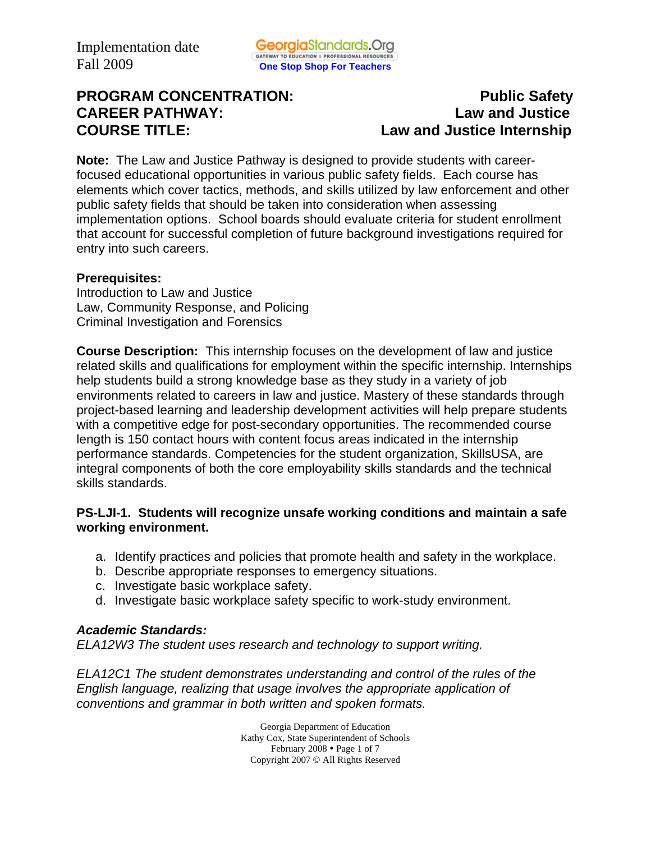# **PROGRAM CONCENTRATION:** PROGRAM CONCENTRATION: **CAREER PATHWAY: Law and Justice COURSE TITLE: Law and Justice Internship**

**Note:** The Law and Justice Pathway is designed to provide students with careerfocused educational opportunities in various public safety fields. Each course has elements which cover tactics, methods, and skills utilized by law enforcement and other public safety fields that should be taken into consideration when assessing implementation options. School boards should evaluate criteria for student enrollment that account for successful completion of future background investigations required for entry into such careers.

#### **Prerequisites:**

Introduction to Law and Justice Law, Community Response, and Policing Criminal Investigation and Forensics

**Course Description:** This internship focuses on the development of law and justice related skills and qualifications for employment within the specific internship. Internships help students build a strong knowledge base as they study in a variety of job environments related to careers in law and justice. Mastery of these standards through project-based learning and leadership development activities will help prepare students with a competitive edge for post-secondary opportunities. The recommended course length is 150 contact hours with content focus areas indicated in the internship performance standards. Competencies for the student organization, SkillsUSA, are integral components of both the core employability skills standards and the technical skills standards.

#### **PS-LJI-1. Students will recognize unsafe working conditions and maintain a safe working environment.**

- a. Identify practices and policies that promote health and safety in the workplace.
- b. Describe appropriate responses to emergency situations.
- c. Investigate basic workplace safety.
- d. Investigate basic workplace safety specific to work-study environment.

#### *Academic Standards:*

*ELA12W3 The student uses research and technology to support writing.* 

*ELA12C1 The student demonstrates understanding and control of the rules of the English language, realizing that usage involves the appropriate application of conventions and grammar in both written and spoken formats.* 

> Georgia Department of Education Kathy Cox, State Superintendent of Schools February 2008 • Page 1 of 7 Copyright 2007 © All Rights Reserved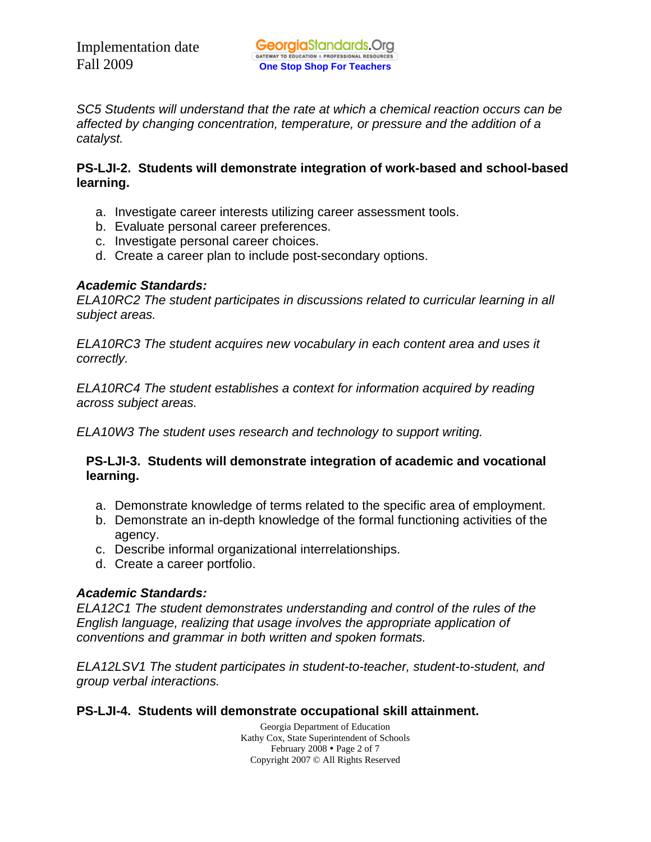*SC5 Students will understand that the rate at which a chemical reaction occurs can be affected by changing concentration, temperature, or pressure and the addition of a catalyst.* 

## **PS-LJI-2. Students will demonstrate integration of work-based and school-based learning.**

- a. Investigate career interests utilizing career assessment tools.
- b. Evaluate personal career preferences.
- c. Investigate personal career choices.
- d. Create a career plan to include post-secondary options.

## *Academic Standards:*

*ELA10RC2 The student participates in discussions related to curricular learning in all subject areas.* 

*ELA10RC3 The student acquires new vocabulary in each content area and uses it correctly.* 

*ELA10RC4 The student establishes a context for information acquired by reading across subject areas.* 

*ELA10W3 The student uses research and technology to support writing.* 

## **PS-LJI-3. Students will demonstrate integration of academic and vocational learning.**

- a. Demonstrate knowledge of terms related to the specific area of employment.
- b. Demonstrate an in-depth knowledge of the formal functioning activities of the agency.
- c. Describe informal organizational interrelationships.
- d. Create a career portfolio.

# *Academic Standards:*

*ELA12C1 The student demonstrates understanding and control of the rules of the English language, realizing that usage involves the appropriate application of conventions and grammar in both written and spoken formats.* 

*ELA12LSV1 The student participates in student-to-teacher, student-to-student, and group verbal interactions.* 

# **PS-LJI-4. Students will demonstrate occupational skill attainment.**

Georgia Department of Education Kathy Cox, State Superintendent of Schools February 2008 • Page 2 of 7 Copyright 2007 © All Rights Reserved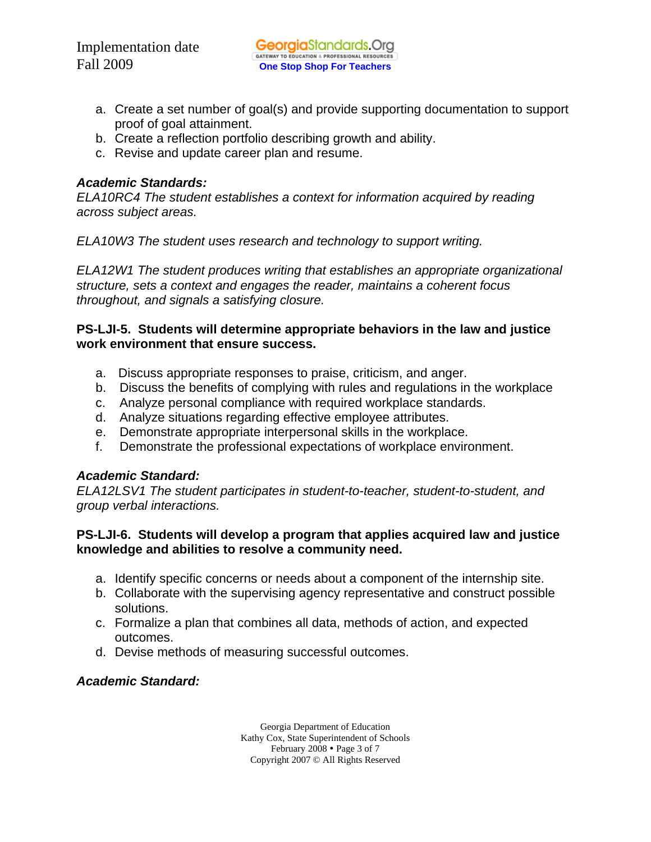- a. Create a set number of goal(s) and provide supporting documentation to support proof of goal attainment.
- b. Create a reflection portfolio describing growth and ability.
- c. Revise and update career plan and resume.

## *Academic Standards:*

*ELA10RC4 The student establishes a context for information acquired by reading across subject areas.* 

*ELA10W3 The student uses research and technology to support writing.* 

*ELA12W1 The student produces writing that establishes an appropriate organizational structure, sets a context and engages the reader, maintains a coherent focus throughout, and signals a satisfying closure.* 

#### **PS-LJI-5. Students will determine appropriate behaviors in the law and justice work environment that ensure success.**

- a. Discuss appropriate responses to praise, criticism, and anger.
- b. Discuss the benefits of complying with rules and regulations in the workplace
- c. Analyze personal compliance with required workplace standards.
- d. Analyze situations regarding effective employee attributes.
- e. Demonstrate appropriate interpersonal skills in the workplace.
- f. Demonstrate the professional expectations of workplace environment.

#### *Academic Standard:*

*ELA12LSV1 The student participates in student-to-teacher, student-to-student, and group verbal interactions.* 

## **PS-LJI-6. Students will develop a program that applies acquired law and justice knowledge and abilities to resolve a community need.**

- a. Identify specific concerns or needs about a component of the internship site.
- b. Collaborate with the supervising agency representative and construct possible solutions.
- c. Formalize a plan that combines all data, methods of action, and expected outcomes.
- d. Devise methods of measuring successful outcomes.

# *Academic Standard:*

Georgia Department of Education Kathy Cox, State Superintendent of Schools February 2008 • Page 3 of 7 Copyright 2007 © All Rights Reserved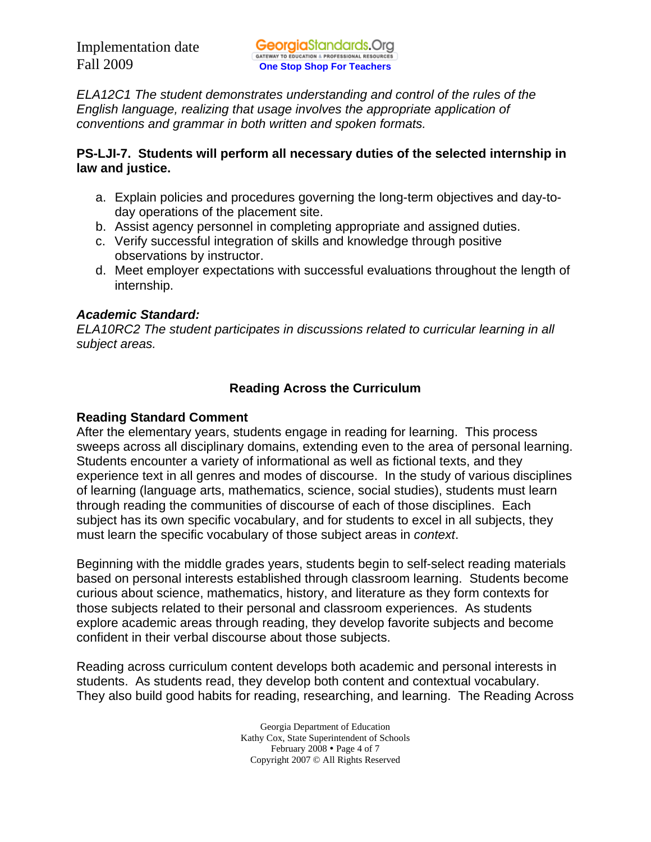*ELA12C1 The student demonstrates understanding and control of the rules of the English language, realizing that usage involves the appropriate application of conventions and grammar in both written and spoken formats.* 

#### **PS-LJI-7. Students will perform all necessary duties of the selected internship in law and justice.**

- a. Explain policies and procedures governing the long-term objectives and day-today operations of the placement site.
- b. Assist agency personnel in completing appropriate and assigned duties.
- c. Verify successful integration of skills and knowledge through positive observations by instructor.
- d. Meet employer expectations with successful evaluations throughout the length of internship.

# *Academic Standard:*

*ELA10RC2 The student participates in discussions related to curricular learning in all subject areas.* 

# **Reading Across the Curriculum**

## **Reading Standard Comment**

After the elementary years, students engage in reading for learning. This process sweeps across all disciplinary domains, extending even to the area of personal learning. Students encounter a variety of informational as well as fictional texts, and they experience text in all genres and modes of discourse. In the study of various disciplines of learning (language arts, mathematics, science, social studies), students must learn through reading the communities of discourse of each of those disciplines. Each subject has its own specific vocabulary, and for students to excel in all subjects, they must learn the specific vocabulary of those subject areas in *context*.

Beginning with the middle grades years, students begin to self-select reading materials based on personal interests established through classroom learning. Students become curious about science, mathematics, history, and literature as they form contexts for those subjects related to their personal and classroom experiences. As students explore academic areas through reading, they develop favorite subjects and become confident in their verbal discourse about those subjects.

Reading across curriculum content develops both academic and personal interests in students. As students read, they develop both content and contextual vocabulary. They also build good habits for reading, researching, and learning. The Reading Across

> Georgia Department of Education Kathy Cox, State Superintendent of Schools February 2008 • Page 4 of 7 Copyright 2007 © All Rights Reserved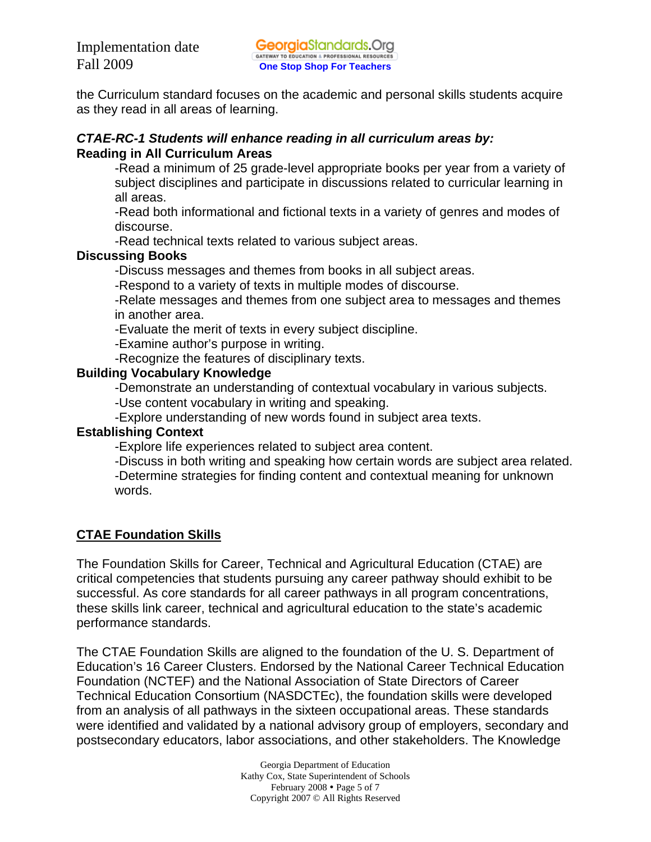the Curriculum standard focuses on the academic and personal skills students acquire as they read in all areas of learning.

#### *CTAE-RC-1 Students will enhance reading in all curriculum areas by:*  **Reading in All Curriculum Areas**

-Read a minimum of 25 grade-level appropriate books per year from a variety of subject disciplines and participate in discussions related to curricular learning in all areas.

-Read both informational and fictional texts in a variety of genres and modes of discourse.

-Read technical texts related to various subject areas.

# **Discussing Books**

-Discuss messages and themes from books in all subject areas.

-Respond to a variety of texts in multiple modes of discourse.

-Relate messages and themes from one subject area to messages and themes in another area.

-Evaluate the merit of texts in every subject discipline.

-Examine author's purpose in writing.

-Recognize the features of disciplinary texts.

## **Building Vocabulary Knowledge**

-Demonstrate an understanding of contextual vocabulary in various subjects.

-Use content vocabulary in writing and speaking.

-Explore understanding of new words found in subject area texts.

# **Establishing Context**

-Explore life experiences related to subject area content.

-Discuss in both writing and speaking how certain words are subject area related. -Determine strategies for finding content and contextual meaning for unknown words.

# **CTAE Foundation Skills**

The Foundation Skills for Career, Technical and Agricultural Education (CTAE) are critical competencies that students pursuing any career pathway should exhibit to be successful. As core standards for all career pathways in all program concentrations, these skills link career, technical and agricultural education to the state's academic performance standards.

The CTAE Foundation Skills are aligned to the foundation of the U. S. Department of Education's 16 Career Clusters. Endorsed by the National Career Technical Education Foundation (NCTEF) and the National Association of State Directors of Career Technical Education Consortium (NASDCTEc), the foundation skills were developed from an analysis of all pathways in the sixteen occupational areas. These standards were identified and validated by a national advisory group of employers, secondary and postsecondary educators, labor associations, and other stakeholders. The Knowledge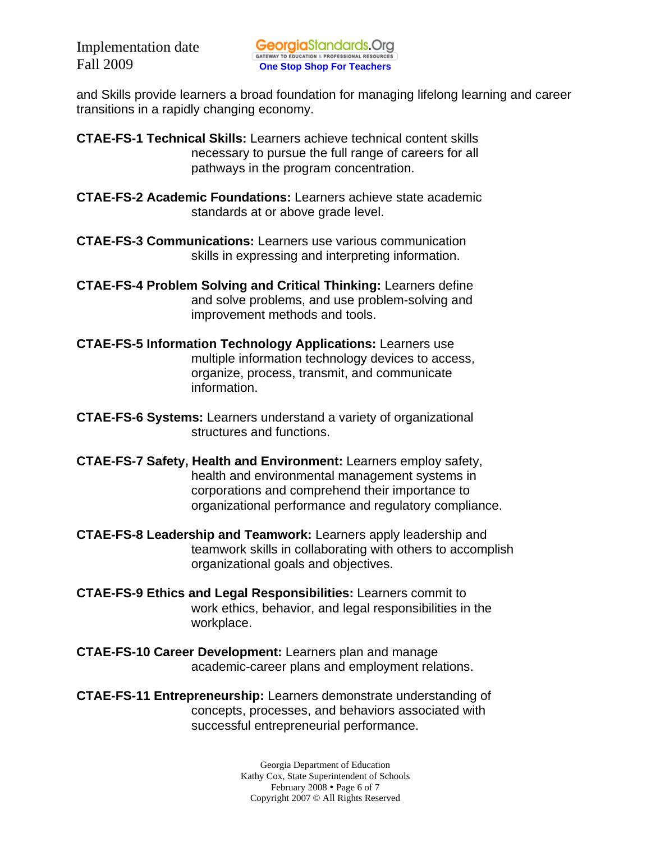and Skills provide learners a broad foundation for managing lifelong learning and career transitions in a rapidly changing economy.

**CTAE-FS-1 Technical Skills:** Learners achieve technical content skills necessary to pursue the full range of careers for all pathways in the program concentration.

- **CTAE-FS-2 Academic Foundations:** Learners achieve state academic standards at or above grade level.
- **CTAE-FS-3 Communications:** Learners use various communication skills in expressing and interpreting information.
- **CTAE-FS-4 Problem Solving and Critical Thinking:** Learners define and solve problems, and use problem-solving and improvement methods and tools.
- **CTAE-FS-5 Information Technology Applications:** Learners use multiple information technology devices to access, organize, process, transmit, and communicate information.
- **CTAE-FS-6 Systems:** Learners understand a variety of organizational structures and functions.
- **CTAE-FS-7 Safety, Health and Environment:** Learners employ safety, health and environmental management systems in corporations and comprehend their importance to organizational performance and regulatory compliance.
- **CTAE-FS-8 Leadership and Teamwork:** Learners apply leadership and teamwork skills in collaborating with others to accomplish organizational goals and objectives.
- **CTAE-FS-9 Ethics and Legal Responsibilities:** Learners commit to work ethics, behavior, and legal responsibilities in the workplace.
- **CTAE-FS-10 Career Development:** Learners plan and manage academic-career plans and employment relations.

**CTAE-FS-11 Entrepreneurship:** Learners demonstrate understanding of concepts, processes, and behaviors associated with successful entrepreneurial performance.

> Georgia Department of Education Kathy Cox, State Superintendent of Schools February 2008 • Page 6 of 7 Copyright 2007 © All Rights Reserved